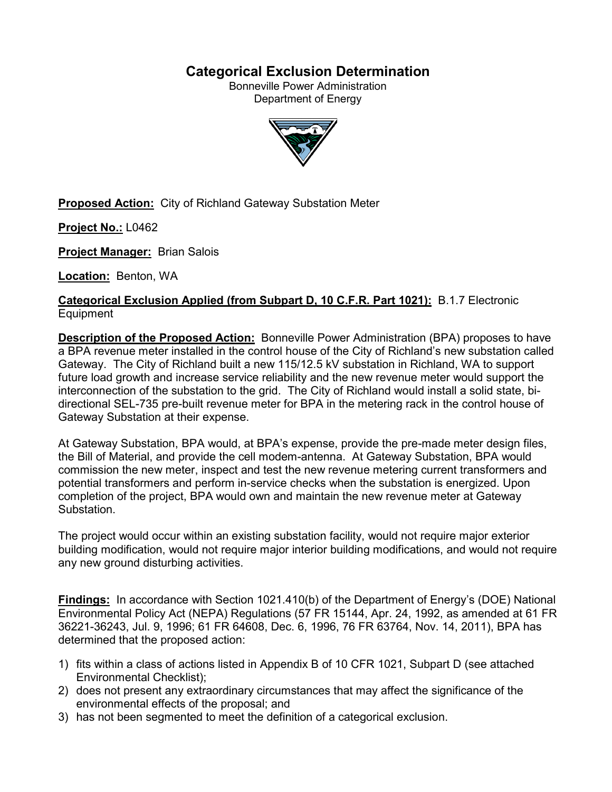# **Categorical Exclusion Determination**

Bonneville Power Administration Department of Energy



**Proposed Action:** City of Richland Gateway Substation Meter

**Project No.:** L0462

**Project Manager:** Brian Salois

**Location:** Benton, WA

**Categorical Exclusion Applied (from Subpart D, 10 C.F.R. Part 1021):** B.1.7 Electronic Equipment

**Description of the Proposed Action:** Bonneville Power Administration (BPA) proposes to have a BPA revenue meter installed in the control house of the City of Richland's new substation called Gateway. The City of Richland built a new 115/12.5 kV substation in Richland, WA to support future load growth and increase service reliability and the new revenue meter would support the interconnection of the substation to the grid. The City of Richland would install a solid state, bidirectional SEL-735 pre-built revenue meter for BPA in the metering rack in the control house of Gateway Substation at their expense.

At Gateway Substation, BPA would, at BPA's expense, provide the pre-made meter design files, the Bill of Material, and provide the cell modem-antenna. At Gateway Substation, BPA would commission the new meter, inspect and test the new revenue metering current transformers and potential transformers and perform in-service checks when the substation is energized. Upon completion of the project, BPA would own and maintain the new revenue meter at Gateway Substation.

The project would occur within an existing substation facility, would not require major exterior building modification, would not require major interior building modifications, and would not require any new ground disturbing activities.

**Findings:** In accordance with Section 1021.410(b) of the Department of Energy's (DOE) National Environmental Policy Act (NEPA) Regulations (57 FR 15144, Apr. 24, 1992, as amended at 61 FR 36221-36243, Jul. 9, 1996; 61 FR 64608, Dec. 6, 1996, 76 FR 63764, Nov. 14, 2011), BPA has determined that the proposed action:

- 1) fits within a class of actions listed in Appendix B of 10 CFR 1021, Subpart D (see attached Environmental Checklist);
- 2) does not present any extraordinary circumstances that may affect the significance of the environmental effects of the proposal; and
- 3) has not been segmented to meet the definition of a categorical exclusion.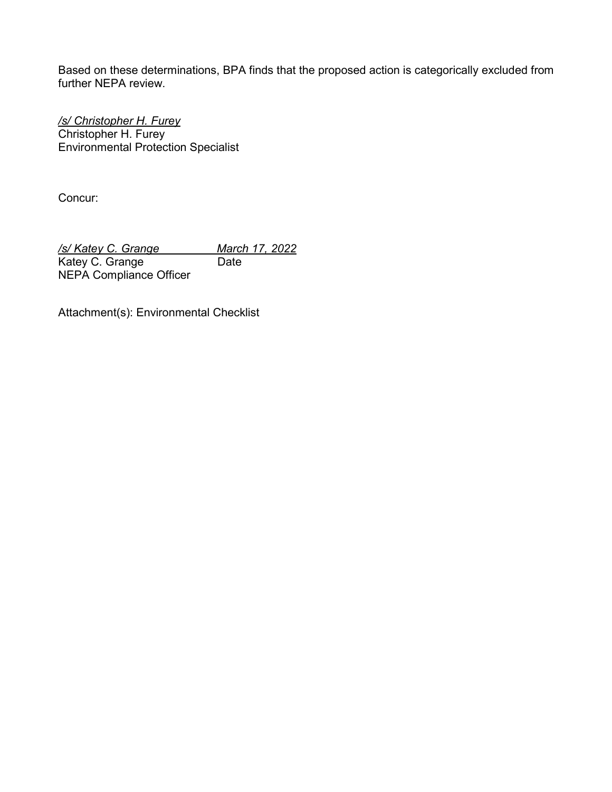Based on these determinations, BPA finds that the proposed action is categorically excluded from further NEPA review.

*/s/ Christopher H. Furey* Christopher H. Furey Environmental Protection Specialist

Concur:

*/s/ Katey C. Grange March 17, 2022* Katey C. Grange Date NEPA Compliance Officer

Attachment(s): Environmental Checklist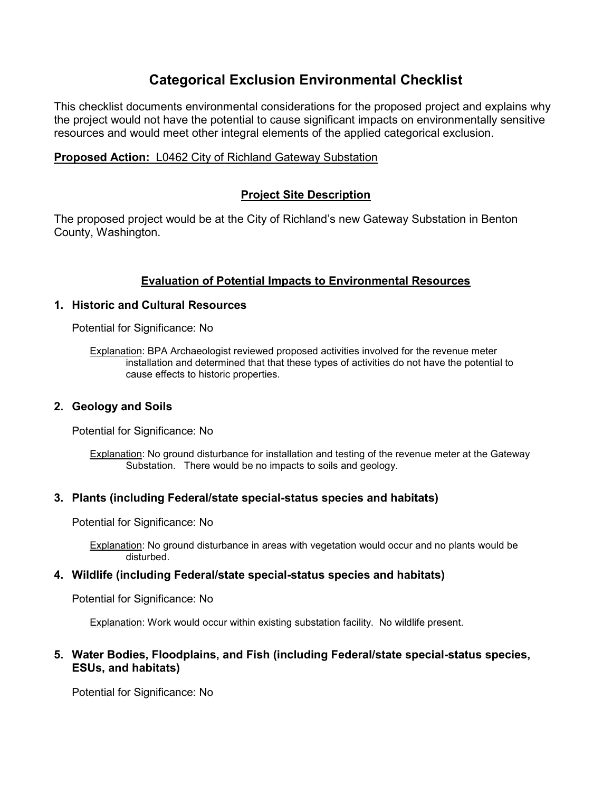# **Categorical Exclusion Environmental Checklist**

This checklist documents environmental considerations for the proposed project and explains why the project would not have the potential to cause significant impacts on environmentally sensitive resources and would meet other integral elements of the applied categorical exclusion.

## **Proposed Action:** L0462 City of Richland Gateway Substation

# **Project Site Description**

The proposed project would be at the City of Richland's new Gateway Substation in Benton County, Washington.

# **Evaluation of Potential Impacts to Environmental Resources**

## **1. Historic and Cultural Resources**

Potential for Significance: No

Explanation: BPA Archaeologist reviewed proposed activities involved for the revenue meter installation and determined that that these types of activities do not have the potential to cause effects to historic properties.

## **2. Geology and Soils**

Potential for Significance: No

Explanation: No ground disturbance for installation and testing of the revenue meter at the Gateway Substation. There would be no impacts to soils and geology.

## **3. Plants (including Federal/state special-status species and habitats)**

Potential for Significance: No

Explanation: No ground disturbance in areas with vegetation would occur and no plants would be disturbed.

## **4. Wildlife (including Federal/state special-status species and habitats)**

Potential for Significance: No

Explanation: Work would occur within existing substation facility. No wildlife present.

## **5. Water Bodies, Floodplains, and Fish (including Federal/state special-status species, ESUs, and habitats)**

Potential for Significance: No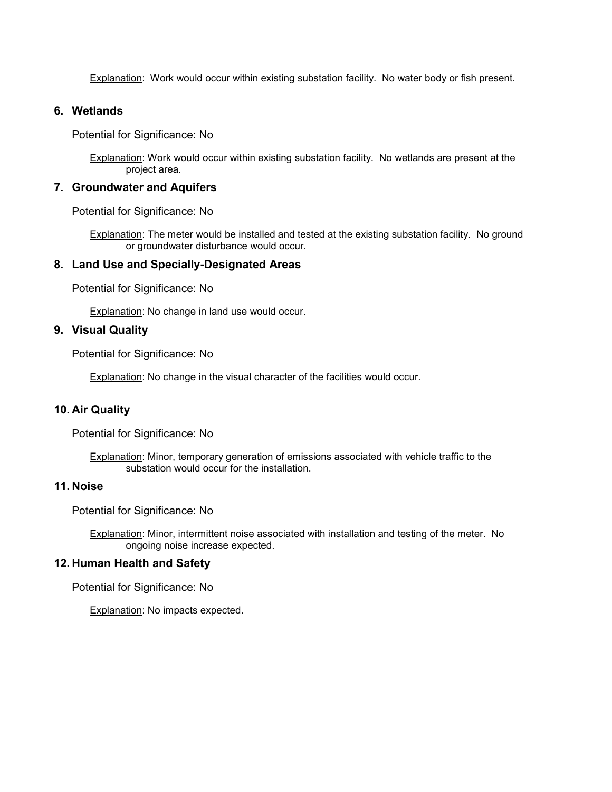Explanation: Work would occur within existing substation facility. No water body or fish present.

#### **6. Wetlands**

Potential for Significance: No

Explanation: Work would occur within existing substation facility. No wetlands are present at the project area.

#### **7. Groundwater and Aquifers**

Potential for Significance: No

Explanation: The meter would be installed and tested at the existing substation facility. No ground or groundwater disturbance would occur.

#### **8. Land Use and Specially-Designated Areas**

Potential for Significance: No

Explanation: No change in land use would occur.

## **9. Visual Quality**

Potential for Significance: No

**Explanation: No change in the visual character of the facilities would occur.** 

#### **10. Air Quality**

Potential for Significance: No

**Explanation:** Minor, temporary generation of emissions associated with vehicle traffic to the substation would occur for the installation.

#### **11. Noise**

Potential for Significance: No

Explanation: Minor, intermittent noise associated with installation and testing of the meter. No ongoing noise increase expected.

#### **12. Human Health and Safety**

Potential for Significance: No

Explanation: No impacts expected.